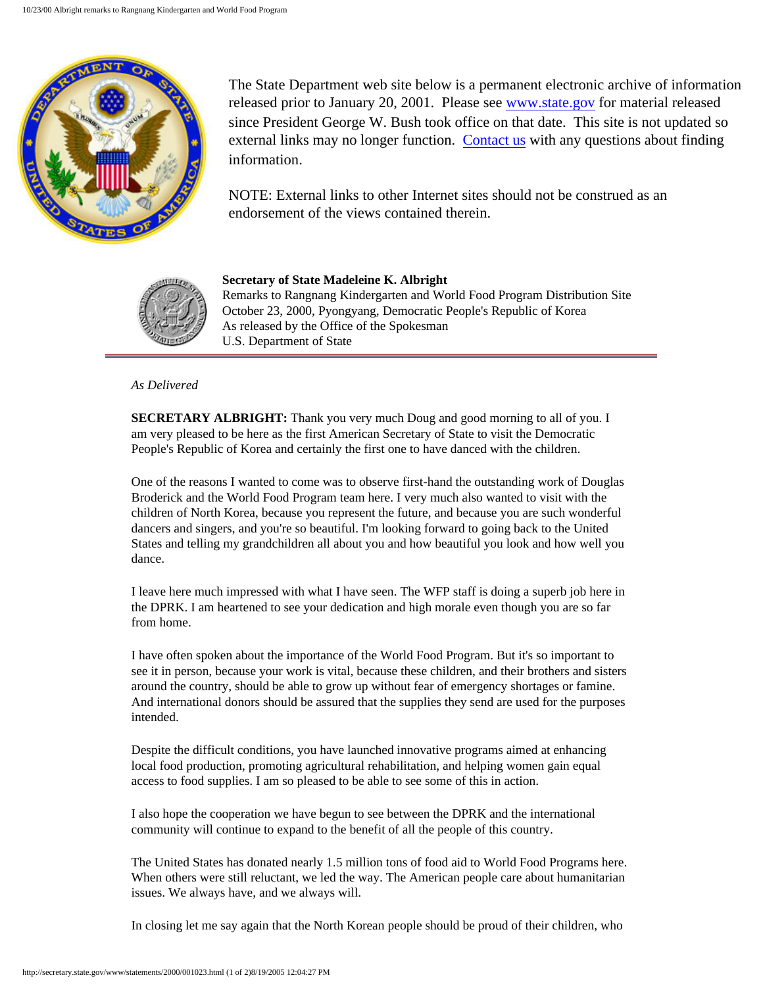

The State Department web site below is a permanent electronic archive of information released prior to January 20, 2001. Please see [www.state.gov](http://www.state.gov/) for material released since President George W. Bush took office on that date. This site is not updated so external links may no longer function. [Contact us](http://state.gov/documents/ContactUs.cfm) with any questions about finding information.

NOTE: External links to other Internet sites should not be construed as an endorsement of the views contained therein.



**Secretary of State Madeleine K. Albright** Remarks to Rangnang Kindergarten and World Food Program Distribution Site October 23, 2000, Pyongyang, Democratic People's Republic of Korea As released by the Office of the Spokesman U.S. Department of State

## *As Delivered*

**SECRETARY ALBRIGHT:** Thank you very much Doug and good morning to all of you. I am very pleased to be here as the first American Secretary of State to visit the Democratic People's Republic of Korea and certainly the first one to have danced with the children.

One of the reasons I wanted to come was to observe first-hand the outstanding work of Douglas Broderick and the World Food Program team here. I very much also wanted to visit with the children of North Korea, because you represent the future, and because you are such wonderful dancers and singers, and you're so beautiful. I'm looking forward to going back to the United States and telling my grandchildren all about you and how beautiful you look and how well you dance.

I leave here much impressed with what I have seen. The WFP staff is doing a superb job here in the DPRK. I am heartened to see your dedication and high morale even though you are so far from home.

I have often spoken about the importance of the World Food Program. But it's so important to see it in person, because your work is vital, because these children, and their brothers and sisters around the country, should be able to grow up without fear of emergency shortages or famine. And international donors should be assured that the supplies they send are used for the purposes intended.

Despite the difficult conditions, you have launched innovative programs aimed at enhancing local food production, promoting agricultural rehabilitation, and helping women gain equal access to food supplies. I am so pleased to be able to see some of this in action.

I also hope the cooperation we have begun to see between the DPRK and the international community will continue to expand to the benefit of all the people of this country.

The United States has donated nearly 1.5 million tons of food aid to World Food Programs here. When others were still reluctant, we led the way. The American people care about humanitarian issues. We always have, and we always will.

In closing let me say again that the North Korean people should be proud of their children, who